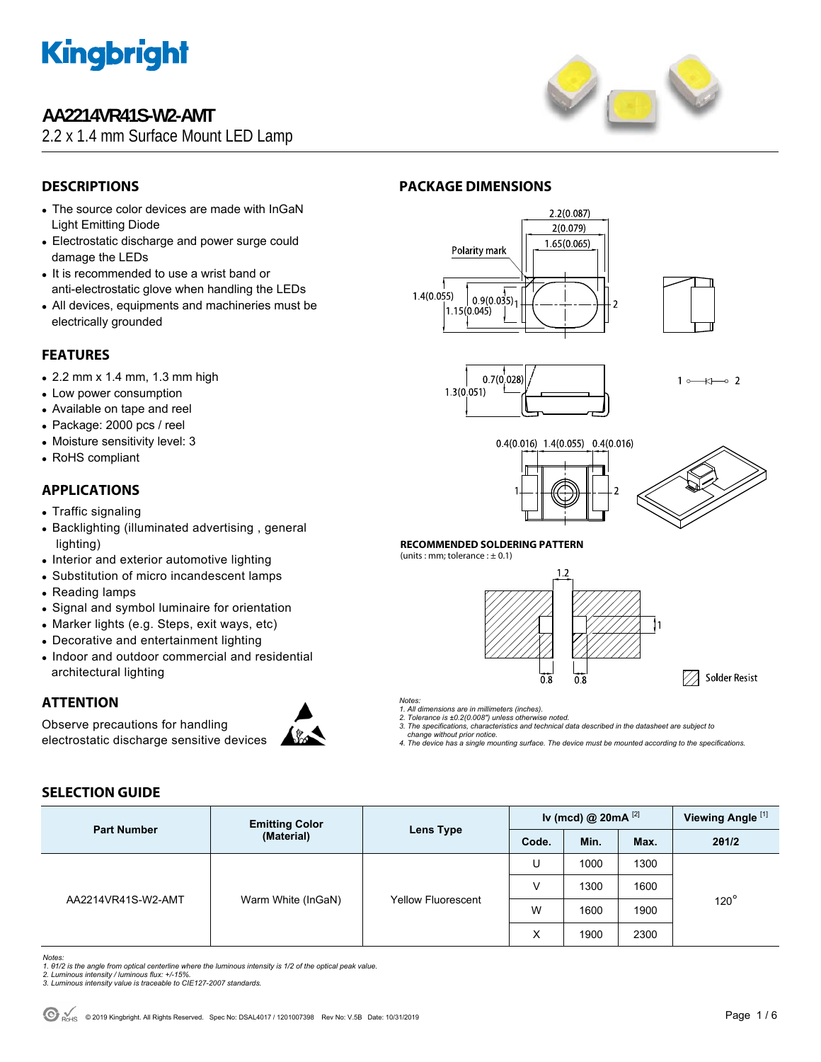

### **AA2214VR41S-W2-AMT**

2.2 x 1.4 mm Surface Mount LED Lamp



### **DESCRIPTIONS**

- The source color devices are made with InGaN Light Emitting Diode
- Electrostatic discharge and power surge could damage the LEDs
- It is recommended to use a wrist band or anti-electrostatic glove when handling the LEDs
- All devices, equipments and machineries must be electrically grounded

### **FEATURES**

- $\bullet$  2.2 mm x 1.4 mm, 1.3 mm high
- Low power consumption
- Available on tape and reel
- Package: 2000 pcs / reel
- Moisture sensitivity level: 3
- RoHS compliant

#### **APPLICATIONS**

- Traffic signaling
- Backlighting (illuminated advertising, general lighting)
- Interior and exterior automotive lighting
- Substitution of micro incandescent lamps
- Reading lamps
- Signal and symbol luminaire for orientation
- Marker lights (e.g. Steps, exit ways, etc)
- Decorative and entertainment lighting
- Indoor and outdoor commercial and residential architectural lighting

### **ATTENTION**

Observe precautions for handling electrostatic discharge sensitive devices



#### **PACKAGE DIMENSIONS**







 $1 \rightarrow \rightarrow \rightarrow$ 





#### **RECOMMENDED SOLDERING PATTERN**

(units : mm; tolerance :  $\pm$  0.1)



#### *Notes:*

*1. All dimensions are in millimeters (inches). 2. Tolerance is ±0.2(0.008") unless otherwise noted.* 

- *3. The specifications, characteristics and technical data described in the datasheet are subject to*
- *change without prior notice.*
- *4. The device has a single mounting surface. The device must be mounted according to the specifications.*

### **SELECTION GUIDE**

| <b>Part Number</b> | <b>Emitting Color</b><br>(Material) | Lens Type                 |       | Iv (mcd) @ $20mA$ <sup>[2]</sup> | Viewing Angle <sup>[1]</sup> |             |
|--------------------|-------------------------------------|---------------------------|-------|----------------------------------|------------------------------|-------------|
|                    |                                     |                           | Code. | Min.                             | Max.                         | 201/2       |
| AA2214VR41S-W2-AMT | Warm White (InGaN)                  | <b>Yellow Fluorescent</b> | U     | 1000                             | 1300                         |             |
|                    |                                     |                           | V     | 1300                             | 1600                         |             |
|                    |                                     |                           | W     | 1600                             | 1900                         | $120^\circ$ |
|                    |                                     |                           | X     | 1900                             | 2300                         |             |

*Notes:* 

- *1. θ1/2 is the angle from optical centerline where the luminous intensity is 1/2 of the optical peak value. 2. Luminous intensity / luminous flux: +/-15%.*
- *3. Luminous intensity value is traceable to CIE127-2007 standards.*
-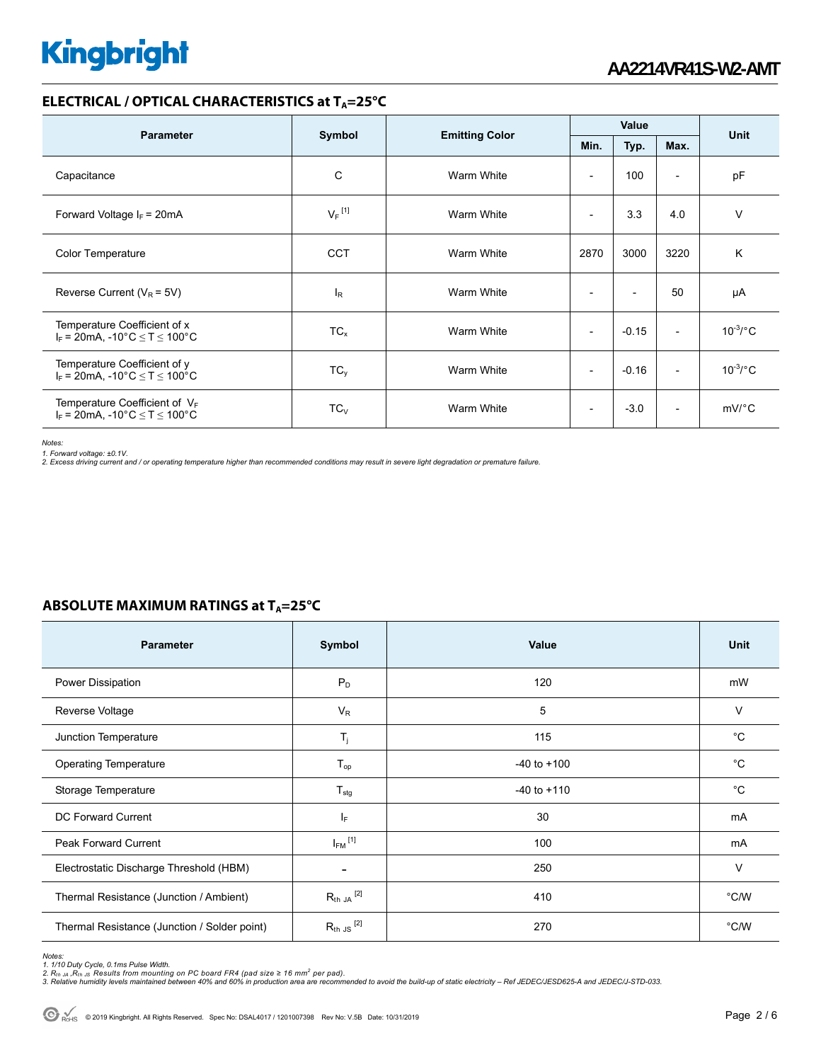#### **ELECTRICAL / OPTICAL CHARACTERISTICS at T<sub>A</sub>=25°C**

| <b>Parameter</b>                                                            | Symbol<br><b>Emitting Color</b> |            | Value                    |                          |                          | <b>Unit</b>       |
|-----------------------------------------------------------------------------|---------------------------------|------------|--------------------------|--------------------------|--------------------------|-------------------|
|                                                                             |                                 |            | Min.                     | Typ.                     | Max.                     |                   |
| Capacitance                                                                 | C                               | Warm White | ٠                        | 100                      | $\overline{a}$           | pF                |
| Forward Voltage $I_F$ = 20mA                                                | $V_F$ <sup>[1]</sup>            | Warm White | ۰                        | 3.3                      | 4.0                      | $\vee$            |
| <b>Color Temperature</b>                                                    | <b>CCT</b>                      | Warm White | 2870                     | 3000                     | 3220                     | K                 |
| Reverse Current ( $V_R$ = 5V)                                               | $I_R$                           | Warm White | $\overline{\phantom{0}}$ | $\overline{\phantom{a}}$ | 50                       | μA                |
| Temperature Coefficient of x<br>$I_F = 20$ mA, -10°C $\le T \le 100$ °C     | $TC_{x}$                        | Warm White | ۰                        | $-0.15$                  | $\overline{\phantom{a}}$ | $10^{-3}$ /°C     |
| Temperature Coefficient of y<br>$I_F = 20$ mA, -10°C $\le T \le 100$ °C     | $TC_y$                          | Warm White | $\overline{\phantom{0}}$ | $-0.16$                  | $\overline{\phantom{a}}$ | $10^{-3}$ /°C     |
| Temperature Coefficient of $V_F$<br>$I_F = 20$ mA, -10°C $\le T \le 100$ °C | $TC_V$                          | Warm White | ۰                        | $-3.0$                   | $\overline{\phantom{a}}$ | $mV$ $^{\circ}$ C |

*Notes:* 

*1. Forward voltage: ±0.1V. 2. Excess driving current and / or operating temperature higher than recommended conditions may result in severe light degradation or premature failure.* 

### **ABSOLUTE MAXIMUM RATINGS at T<sub>A</sub>=25°C**

| <b>Parameter</b>                             | Symbol                   | Value           | Unit          |
|----------------------------------------------|--------------------------|-----------------|---------------|
| Power Dissipation                            | $P_D$                    | 120             | mW            |
| Reverse Voltage                              | $V_R$                    | 5               | $\vee$        |
| Junction Temperature                         | $T_j$                    | 115             | °C            |
| <b>Operating Temperature</b>                 | $T_{op}$                 | $-40$ to $+100$ | °C            |
| Storage Temperature                          | $T_{\text{stg}}$         | $-40$ to $+110$ | °C            |
| DC Forward Current                           | IF.                      | 30              | mA            |
| <b>Peak Forward Current</b>                  | $I_{FM}$ <sup>[1]</sup>  | 100             | mA            |
| Electrostatic Discharge Threshold (HBM)      | $\overline{\phantom{0}}$ | 250             | $\vee$        |
| Thermal Resistance (Junction / Ambient)      | $R_{th}$ JA $^{[2]}$     | 410             | $\degree$ C/W |
| Thermal Resistance (Junction / Solder point) | $R_{th}$ JS $^{[2]}$     | 270             | °C/W          |

*Notes:* 

1. 1/10 Duty Cycle, 0.1ms Pulse Width.<br>2. R<sub>th Ju</sub> ,R<sub>h JS</sub> Results from mounting on PC board FR4 (pad size ≥ 16 mm<sup>2</sup> per pad).<br>3. Relative humidity levels maintained between 40% and 60% in production area are recommende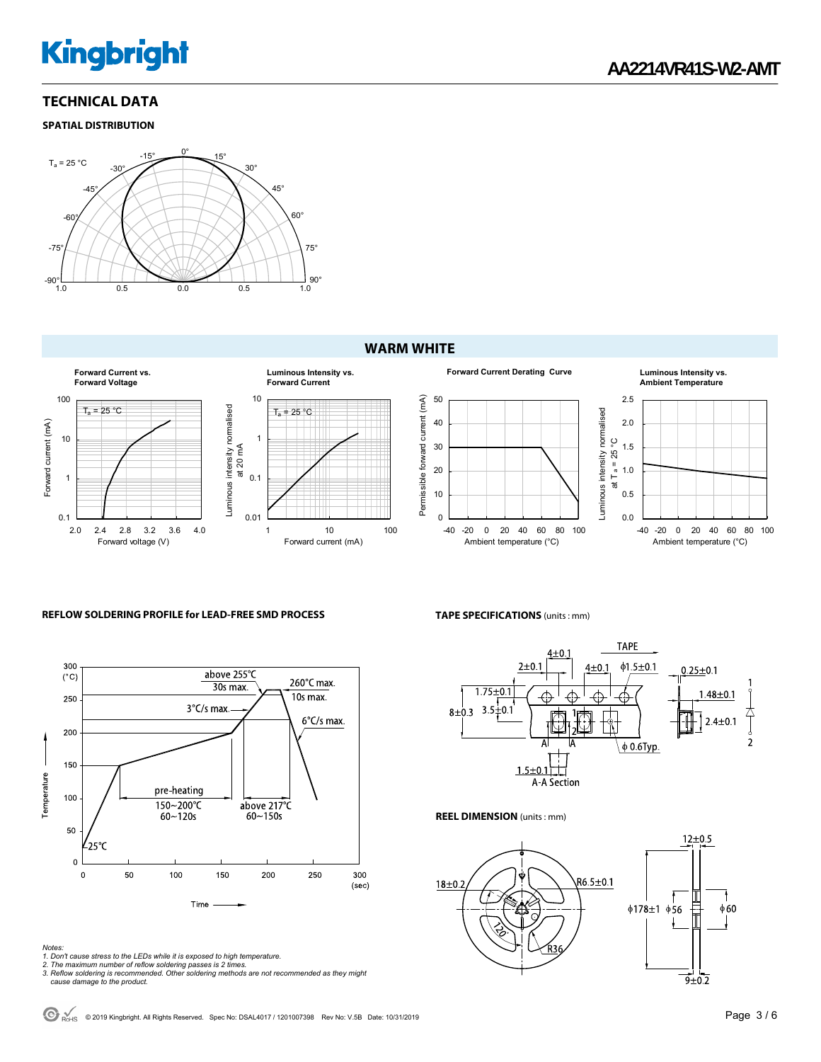#### **TECHNICAL DATA**

#### **SPATIAL DISTRIBUTION**



#### **WARM WHITE**









#### **REFLOW SOLDERING PROFILE for LEAD-FREE SMD PROCESS**



- 
- 
- Notes:<br>1. Don't cause stress to the LEDs while it is exposed to high temperature.<br>2. The maximum number of reflow soldering passes is 2 times.<br>3. Reflow soldering is recommended. Other soldering methods are not recommended

#### **TAPE SPECIFICATIONS** (units : mm)



**REEL DIMENSION** (units : mm)



© 2019 Kingbright. All Rights Reserved. Spec No: DSAL4017 / 1201007398 Rev No: V.5B Date: 10/31/2019Page 3 / 6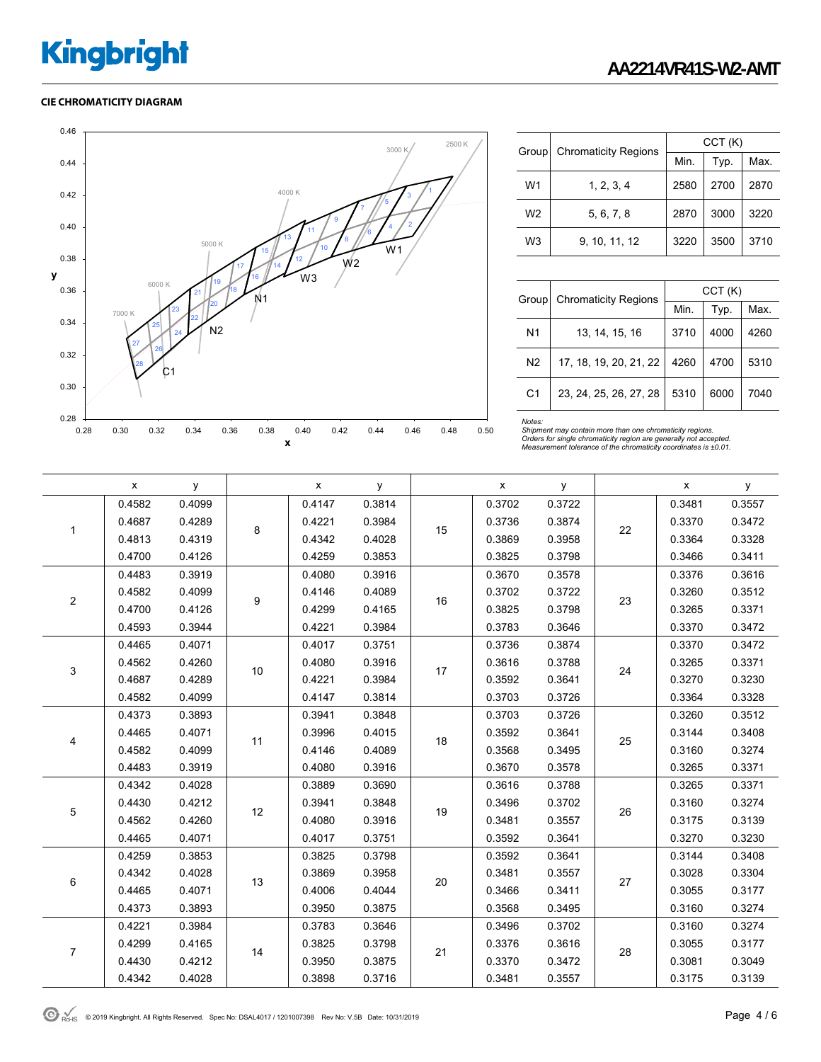#### **CIE CHROMATICITY DIAGRAM**



| Group          | <b>Chromaticity Regions</b> | CCT(K) |      |      |  |  |
|----------------|-----------------------------|--------|------|------|--|--|
|                |                             | Min.   | Typ. | Max. |  |  |
| W <sub>1</sub> | 1, 2, 3, 4                  | 2580   | 2700 | 2870 |  |  |
| W <sub>2</sub> | 5, 6, 7, 8                  | 2870   | 3000 | 3220 |  |  |
| W3             | 9, 10, 11, 12               | 3220   | 3500 | 3710 |  |  |

| Group          | <b>Chromaticity Regions</b> | CCT(K) |      |      |  |  |
|----------------|-----------------------------|--------|------|------|--|--|
|                |                             | Min.   | Typ. | Max. |  |  |
| N <sub>1</sub> | 13, 14, 15, 16              | 3710   | 4000 | 4260 |  |  |
| N <sub>2</sub> | 17, 18, 19, 20, 21, 22      | 4260   | 4700 | 5310 |  |  |
| C <sub>1</sub> | 23, 24, 25, 26, 27, 28      | 5310   | 6000 | 7040 |  |  |

Notes:<br>Shipment may contain more than one chromaticity regions.<br>Orders for single chromaticity region are generally not accepted.<br>Measurement tolerance of the chromaticity coordinates is ±0.01.

|                           | X      | у      |    | X      | у      |    | X      | у      |    | x      | у      |
|---------------------------|--------|--------|----|--------|--------|----|--------|--------|----|--------|--------|
|                           | 0.4582 | 0.4099 |    | 0.4147 | 0.3814 |    | 0.3702 | 0.3722 | 22 | 0.3481 | 0.3557 |
| 1                         | 0.4687 | 0.4289 |    | 0.4221 | 0.3984 | 15 | 0.3736 | 0.3874 |    | 0.3370 | 0.3472 |
|                           | 0.4813 | 0.4319 | 8  | 0.4342 | 0.4028 |    | 0.3869 | 0.3958 |    | 0.3364 | 0.3328 |
|                           | 0.4700 | 0.4126 |    | 0.4259 | 0.3853 |    | 0.3825 | 0.3798 |    | 0.3466 | 0.3411 |
|                           | 0.4483 | 0.3919 |    | 0.4080 | 0.3916 | 16 | 0.3670 | 0.3578 | 23 | 0.3376 | 0.3616 |
| $\boldsymbol{2}$          | 0.4582 | 0.4099 | 9  | 0.4146 | 0.4089 |    | 0.3702 | 0.3722 |    | 0.3260 | 0.3512 |
|                           | 0.4700 | 0.4126 |    | 0.4299 | 0.4165 |    | 0.3825 | 0.3798 |    | 0.3265 | 0.3371 |
|                           | 0.4593 | 0.3944 |    | 0.4221 | 0.3984 |    | 0.3783 | 0.3646 |    | 0.3370 | 0.3472 |
|                           | 0.4465 | 0.4071 |    | 0.4017 | 0.3751 |    | 0.3736 | 0.3874 |    | 0.3370 | 0.3472 |
| $\ensuremath{\mathsf{3}}$ | 0.4562 | 0.4260 | 10 | 0.4080 | 0.3916 | 17 | 0.3616 | 0.3788 | 24 | 0.3265 | 0.3371 |
|                           | 0.4687 | 0.4289 |    | 0.4221 | 0.3984 |    | 0.3592 | 0.3641 |    | 0.3270 | 0.3230 |
|                           | 0.4582 | 0.4099 |    | 0.4147 | 0.3814 |    | 0.3703 | 0.3726 |    | 0.3364 | 0.3328 |
|                           | 0.4373 | 0.3893 | 11 | 0.3941 | 0.3848 | 18 | 0.3703 | 0.3726 | 25 | 0.3260 | 0.3512 |
| 4                         | 0.4465 | 0.4071 |    | 0.3996 | 0.4015 |    | 0.3592 | 0.3641 |    | 0.3144 | 0.3408 |
|                           | 0.4582 | 0.4099 |    | 0.4146 | 0.4089 |    | 0.3568 | 0.3495 |    | 0.3160 | 0.3274 |
|                           | 0.4483 | 0.3919 |    | 0.4080 | 0.3916 |    | 0.3670 | 0.3578 |    | 0.3265 | 0.3371 |
|                           | 0.4342 | 0.4028 |    | 0.3889 | 0.3690 | 19 | 0.3616 | 0.3788 | 26 | 0.3265 | 0.3371 |
| 5                         | 0.4430 | 0.4212 | 12 | 0.3941 | 0.3848 |    | 0.3496 | 0.3702 |    | 0.3160 | 0.3274 |
|                           | 0.4562 | 0.4260 |    | 0.4080 | 0.3916 |    | 0.3481 | 0.3557 |    | 0.3175 | 0.3139 |
|                           | 0.4465 | 0.4071 |    | 0.4017 | 0.3751 |    | 0.3592 | 0.3641 |    | 0.3270 | 0.3230 |
|                           | 0.4259 | 0.3853 |    | 0.3825 | 0.3798 |    | 0.3592 | 0.3641 |    | 0.3144 | 0.3408 |
| 6                         | 0.4342 | 0.4028 | 13 | 0.3869 | 0.3958 | 20 | 0.3481 | 0.3557 | 27 | 0.3028 | 0.3304 |
|                           | 0.4465 | 0.4071 |    | 0.4006 | 0.4044 |    | 0.3466 | 0.3411 |    | 0.3055 | 0.3177 |
|                           | 0.4373 | 0.3893 |    | 0.3950 | 0.3875 |    | 0.3568 | 0.3495 |    | 0.3160 | 0.3274 |
|                           | 0.4221 | 0.3984 |    | 0.3783 | 0.3646 |    | 0.3496 | 0.3702 |    | 0.3160 | 0.3274 |
| $\overline{7}$            | 0.4299 | 0.4165 | 14 | 0.3825 | 0.3798 | 21 | 0.3376 | 0.3616 | 28 | 0.3055 | 0.3177 |
|                           | 0.4430 | 0.4212 |    | 0.3950 | 0.3875 |    | 0.3370 | 0.3472 |    | 0.3081 | 0.3049 |
|                           | 0.4342 | 0.4028 |    | 0.3898 | 0.3716 |    | 0.3481 | 0.3557 |    | 0.3175 | 0.3139 |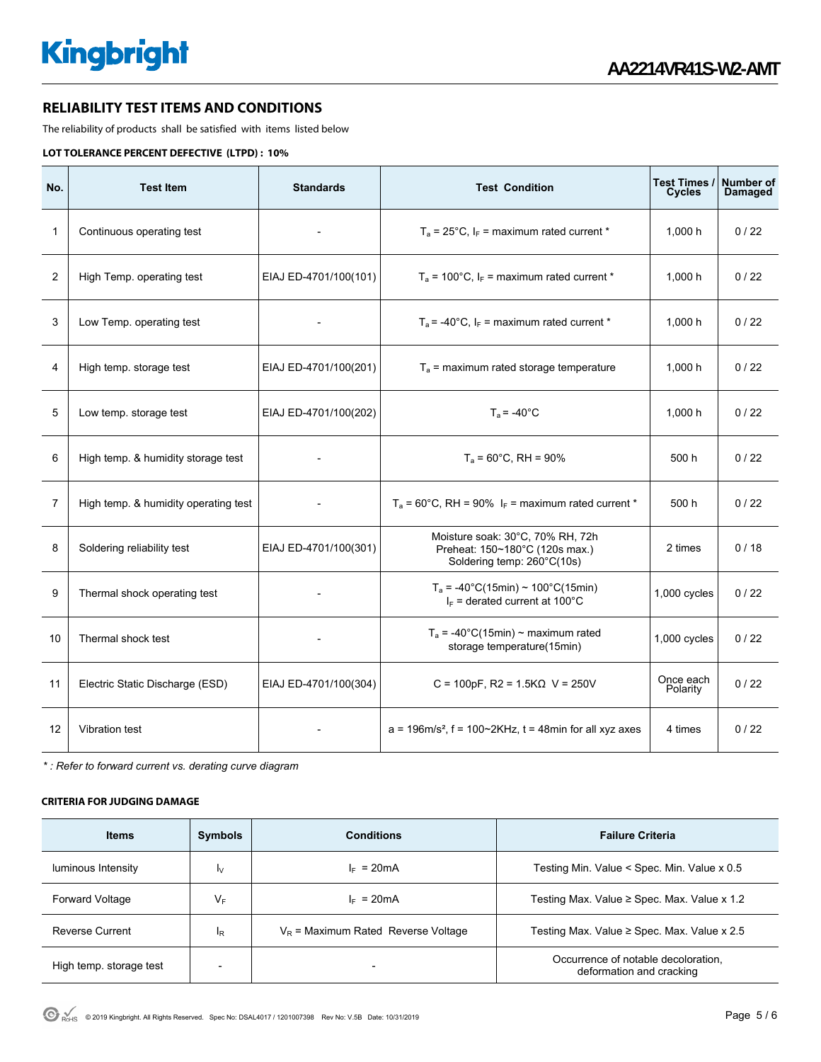#### **RELIABILITY TEST ITEMS AND CONDITIONS**

The reliability of products shall be satisfied with items listed below

#### **LOT TOLERANCE PERCENT DEFECTIVE (LTPD) : 10%**

| No.            | <b>Test Item</b>                     | <b>Standards</b>      | <b>Test Condition</b>                                                                            | Test Times /<br><b>Cycles</b> | Number of<br>Damaged |
|----------------|--------------------------------------|-----------------------|--------------------------------------------------------------------------------------------------|-------------------------------|----------------------|
| $\mathbf{1}$   | Continuous operating test            |                       | $T_a$ = 25°C, $I_F$ = maximum rated current *                                                    | 1.000h                        | 0/22                 |
| $\overline{2}$ | High Temp. operating test            | EIAJ ED-4701/100(101) | $T_a$ = 100°C, $I_F$ = maximum rated current *                                                   | 1,000 h                       | 0/22                 |
| 3              | Low Temp. operating test             |                       | $T_a$ = -40°C, $I_F$ = maximum rated current *                                                   | 1,000 h                       | 0/22                 |
| 4              | High temp. storage test              | EIAJ ED-4701/100(201) | $T_a$ = maximum rated storage temperature                                                        | 1,000 h                       | 0/22                 |
| 5              | Low temp. storage test               | EIAJ ED-4701/100(202) | $T_a$ = -40 $^{\circ}$ C                                                                         | 1,000 h                       | 0/22                 |
| 6              | High temp. & humidity storage test   |                       | $T_a = 60^{\circ}$ C, RH = 90%                                                                   | 500 h                         | 0/22                 |
| $\overline{7}$ | High temp. & humidity operating test |                       | $T_a$ = 60°C, RH = 90% $I_F$ = maximum rated current *                                           | 500 h                         | 0/22                 |
| 8              | Soldering reliability test           | EIAJ ED-4701/100(301) | Moisture soak: 30°C, 70% RH, 72h<br>Preheat: 150~180°C (120s max.)<br>Soldering temp: 260°C(10s) | 2 times                       | 0/18                 |
| 9              | Thermal shock operating test         |                       | $T_a = -40^{\circ}C(15min) \sim 100^{\circ}C(15min)$<br>$I_F$ = derated current at 100°C         | $1,000$ cycles                | 0/22                 |
| 10             | Thermal shock test                   |                       | $T_a$ = -40°C(15min) ~ maximum rated<br>storage temperature(15min)                               | 1,000 cycles                  | 0/22                 |
| 11             | Electric Static Discharge (ESD)      | EIAJ ED-4701/100(304) | C = 100pF, R2 = 1.5K $\Omega$ V = 250V                                                           | Once each<br>Polarity         | 0/22                 |
| 12             | Vibration test                       |                       | $a = 196$ m/s <sup>2</sup> , f = 100~2KHz, t = 48min for all xyz axes                            | 4 times                       | 0/22                 |

*\* : Refer to forward current vs. derating curve diagram* 

#### **CRITERIA FOR JUDGING DAMAGE**

| <b>Items</b>            | <b>Symbols</b> | <b>Conditions</b>                     | <b>Failure Criteria</b>                                         |
|-------------------------|----------------|---------------------------------------|-----------------------------------------------------------------|
| luminous Intensity      | I٧             | $I_F = 20mA$                          | Testing Min. Value < Spec. Min. Value x 0.5                     |
| <b>Forward Voltage</b>  | V⊧             | $I_F = 20mA$                          | Testing Max. Value $\geq$ Spec. Max. Value x 1.2                |
| Reverse Current         | <sup>I</sup> R | $V_R$ = Maximum Rated Reverse Voltage | Testing Max. Value $\geq$ Spec. Max. Value x 2.5                |
| High temp. storage test |                |                                       | Occurrence of notable decoloration.<br>deformation and cracking |